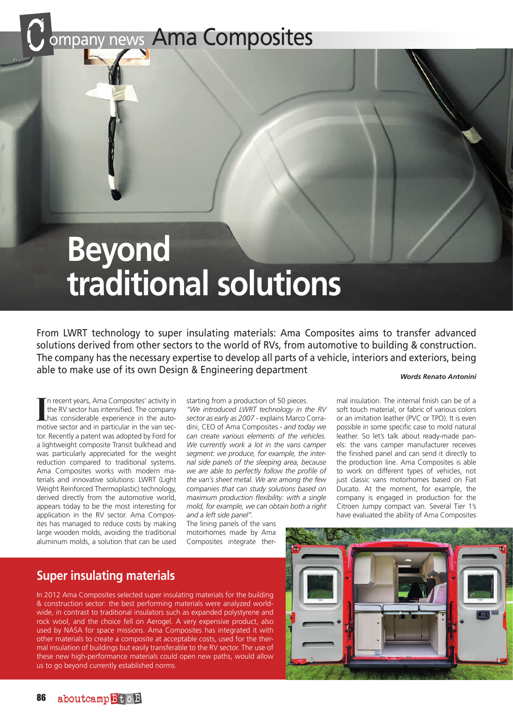ompany news Ama Composites

# **Beyond traditional solutions**

From LWRT technology to super insulating materials: Ama Composites aims to transfer advanced solutions derived from other sectors to the world of RVs, from automotive to building & construction. The company has the necessary expertise to develop all parts of a vehicle, interiors and exteriors, being able to make use of its own Design & Engineering department *Words Renato Antonini*

In recent years, Ama Composites' activity in<br>the RV sector has intensified. The company<br>has considerable experience in the auto-<br>motive sector and in particular in the van secn recent years, Ama Composites' activity in the RV sector has intensified. The company has considerable experience in the autotor. Recently a patent was adopted by Ford for a lightweight composite Transit bulkhead and was particularly appreciated for the weight reduction compared to traditional systems. Ama Composites works with modern materials and innovative solutions: LWRT (Light Weight Reinforced Thermoplastic) technology, derived directly from the automotive world, appears today to be the most interesting for application in the RV sector. Ama Composites has managed to reduce costs by making large wooden molds, avoiding the traditional aluminum molds, a solution that can be used

starting from a production of 50 pieces.

*"We introduced LWRT technology in the RV sector as early as 2007* - explains Marco Corradini, CEO of Ama Composites - *and today we can create various elements of the vehicles. We currently work a lot in the vans camper segment: we produce, for example, the internal side panels of the sleeping area, because we are able to perfectly follow the profile of the van's sheet metal. We are among the few companies that can study solutions based on maximum production flexibility: with a single mold, for example, we can obtain both a right and a left side panel".*

The lining panels of the vans motorhomes made by Ama Composites integrate ther-

### leather. So let's talk about ready-made panels: the vans camper manufacturer receives the finished panel and can send it directly to the production line. Ama Composites is able to work on different types of vehicles, not just classic vans motorhomes based on Fiat Ducato. At the moment, for example, the company is engaged in production for the Citroen Jumpy compact van. Several Tier 1's have evaluated the ability of Ama Composites

mal insulation. The internal finish can be of a soft touch material, or fabric of various colors or an imitation leather (PVC or TPO). It is even possible in some specific case to mold natural

## **Super insulating materials**

In 2012 Ama Composites selected super insulating materials for the building & construction sector: the best performing materials were analyzed worldwide, in contrast to traditional insulators such as expanded polystyrene and rock wool, and the choice fell on Aerogel. A very expensive product, also used by NASA for space missions. Ama Composites has integrated it with other materials to create a composite at acceptable costs, used for the thermal insulation of buildings but easily transferable to the RV sector. The use of these new high-performance materials could open new paths, would allow us to go beyond currently established norms.